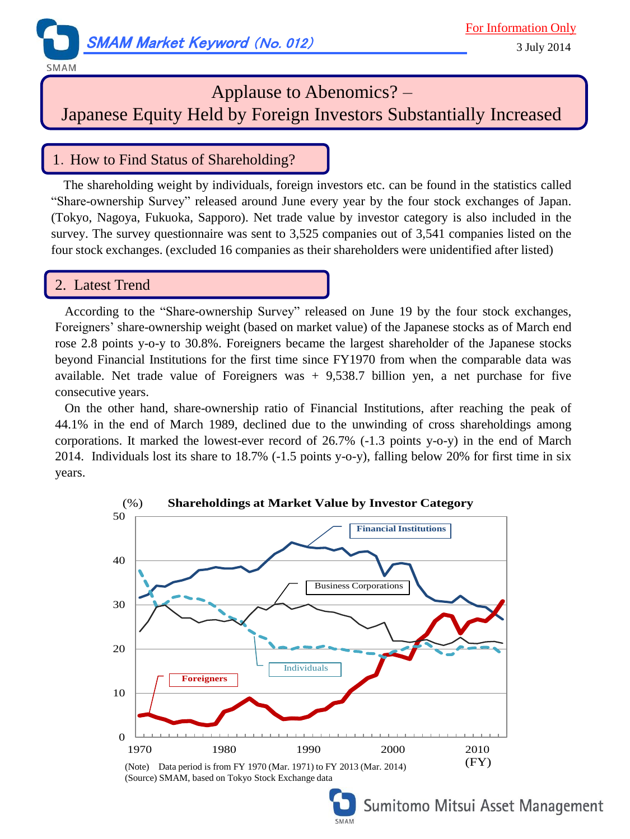

#### **SMAM**

# Applause to Abenomics? –

Japanese Equity Held by Foreign Investors Substantially Increased

### 1.How to Find Status of Shareholding?

The shareholding weight by individuals, foreign investors etc. can be found in the statistics called "Share-ownership Survey" released around June every year by the four stock exchanges of Japan. (Tokyo, Nagoya, Fukuoka, Sapporo). Net trade value by investor category is also included in the survey. The survey questionnaire was sent to 3,525 companies out of 3,541 companies listed on the four stock exchanges. (excluded 16 companies as their shareholders were unidentified after listed)

### 2. Latest Trend

 According to the "Share-ownership Survey" released on June 19 by the four stock exchanges, Foreigners' share-ownership weight (based on market value) of the Japanese stocks as of March end rose 2.8 points y-o-y to 30.8%. Foreigners became the largest shareholder of the Japanese stocks beyond Financial Institutions for the first time since FY1970 from when the comparable data was available. Net trade value of Foreigners was  $+$  9,538.7 billion yen, a net purchase for five consecutive years.

 On the other hand, share-ownership ratio of Financial Institutions, after reaching the peak of 44.1% in the end of March 1989, declined due to the unwinding of cross shareholdings among corporations. It marked the lowest-ever record of 26.7% (-1.3 points y-o-y) in the end of March 2014. Individuals lost its share to 18.7% (-1.5 points y-o-y), falling below 20% for first time in six years.





Sumitomo Mitsui Asset Management